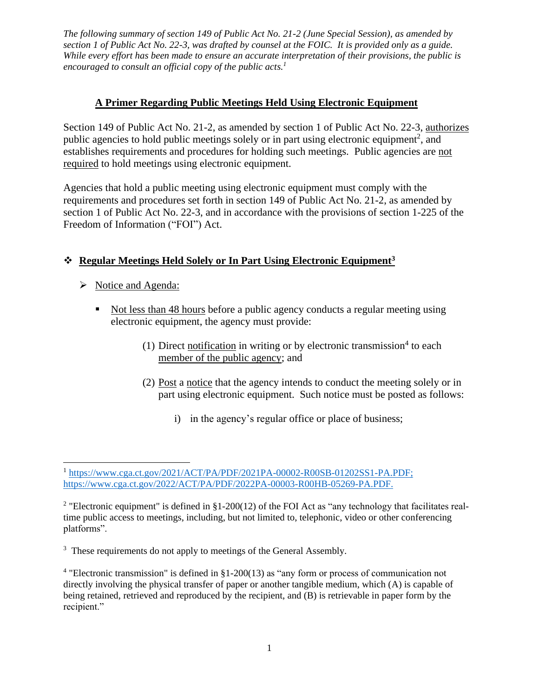*The following summary of section 149 of Public Act No. 21-2 (June Special Session), as amended by section 1 of Public Act No. 22-3, was drafted by counsel at the FOIC. It is provided only as a guide. While every effort has been made to ensure an accurate interpretation of their provisions, the public is*  encouraged to consult an official copy of the public acts.<sup>1</sup>

### **A Primer Regarding Public Meetings Held Using Electronic Equipment**

Section 149 of Public Act No. 21-2, as amended by section 1 of Public Act No. 22-3, authorizes public agencies to hold public meetings solely or in part using electronic equipment<sup>2</sup>, and establishes requirements and procedures for holding such meetings. Public agencies are not required to hold meetings using electronic equipment.

Agencies that hold a public meeting using electronic equipment must comply with the requirements and procedures set forth in section 149 of Public Act No. 21-2, as amended by section 1 of Public Act No. 22-3, and in accordance with the provisions of section 1-225 of the Freedom of Information ("FOI") Act.

# ❖ **Regular Meetings Held Solely or In Part Using Electronic Equipment<sup>3</sup>**

- ➢ Notice and Agenda:
	- Not less than 48 hours before a public agency conducts a regular meeting using electronic equipment, the agency must provide:
		- (1) Direct notification in writing or by electronic transmission<sup>4</sup> to each member of the public agency; and
		- (2) Post a notice that the agency intends to conduct the meeting solely or in part using electronic equipment. Such notice must be posted as follows:
			- i) in the agency's regular office or place of business;

<sup>&</sup>lt;sup>1</sup> [https://www.cga.ct.gov/2021/ACT/PA/PDF/2021PA-00002-R00SB-01202SS1-PA.PDF;](https://www.cga.ct.gov/2021/ACT/PA/PDF/2021PA-00002-R00SB-01202SS1-PA.PDF) https://www.cga.ct.gov/2022/ACT/PA/PDF/2022PA-00003-R00HB-05269-PA.PDF.

<sup>&</sup>lt;sup>2</sup> "Electronic equipment" is defined in §1-200(12) of the FOI Act as "any technology that facilitates realtime public access to meetings, including, but not limited to, telephonic, video or other conferencing platforms".

<sup>&</sup>lt;sup>3</sup> These requirements do not apply to meetings of the General Assembly.

 $4$  "Electronic transmission" is defined in §1-200(13) as "any form or process of communication not directly involving the physical transfer of paper or another tangible medium, which (A) is capable of being retained, retrieved and reproduced by the recipient, and (B) is retrievable in paper form by the recipient."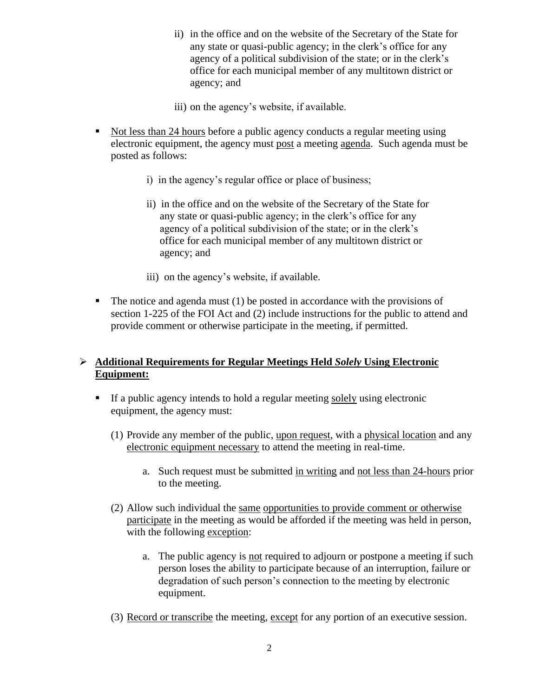- ii) in the office and on the website of the Secretary of the State for any state or quasi-public agency; in the clerk's office for any agency of a political subdivision of the state; or in the clerk's office for each municipal member of any multitown district or agency; and
- iii) on the agency's website, if available.
- Not less than 24 hours before a public agency conducts a regular meeting using electronic equipment, the agency must post a meeting agenda. Such agenda must be posted as follows:
	- i) in the agency's regular office or place of business;
	- ii) in the office and on the website of the Secretary of the State for any state or quasi-public agency; in the clerk's office for any agency of a political subdivision of the state; or in the clerk's office for each municipal member of any multitown district or agency; and
	- iii) on the agency's website, if available.
- $\blacksquare$  The notice and agenda must (1) be posted in accordance with the provisions of section 1-225 of the FOI Act and (2) include instructions for the public to attend and provide comment or otherwise participate in the meeting, if permitted.

#### ➢ **Additional Requirements for Regular Meetings Held** *Solely* **Using Electronic Equipment:**

- If a public agency intends to hold a regular meeting solely using electronic equipment, the agency must:
	- (1) Provide any member of the public, upon request, with a physical location and any electronic equipment necessary to attend the meeting in real-time.
		- a. Such request must be submitted in writing and not less than 24-hours prior to the meeting.
	- (2) Allow such individual the same opportunities to provide comment or otherwise participate in the meeting as would be afforded if the meeting was held in person, with the following exception:
		- a. The public agency is not required to adjourn or postpone a meeting if such person loses the ability to participate because of an interruption, failure or degradation of such person's connection to the meeting by electronic equipment.
	- (3) Record or transcribe the meeting, except for any portion of an executive session.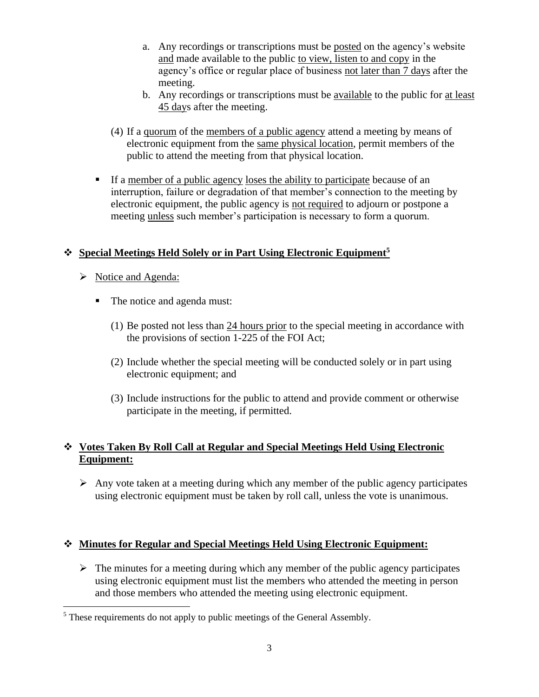- a. Any recordings or transcriptions must be posted on the agency's website and made available to the public to view, listen to and copy in the agency's office or regular place of business not later than 7 days after the meeting.
- b. Any recordings or transcriptions must be available to the public for at least 45 days after the meeting.
- (4) If a quorum of the members of a public agency attend a meeting by means of electronic equipment from the same physical location, permit members of the public to attend the meeting from that physical location.
- If a member of a public agency loses the ability to participate because of an interruption, failure or degradation of that member's connection to the meeting by electronic equipment, the public agency is not required to adjourn or postpone a meeting unless such member's participation is necessary to form a quorum.

# ❖ **Special Meetings Held Solely or in Part Using Electronic Equipment<sup>5</sup>**

- ➢ Notice and Agenda:
	- The notice and agenda must:
		- (1) Be posted not less than 24 hours prior to the special meeting in accordance with the provisions of section 1-225 of the FOI Act;
		- (2) Include whether the special meeting will be conducted solely or in part using electronic equipment; and
		- (3) Include instructions for the public to attend and provide comment or otherwise participate in the meeting, if permitted.

# ❖ **Votes Taken By Roll Call at Regular and Special Meetings Held Using Electronic Equipment:**

 $\triangleright$  Any vote taken at a meeting during which any member of the public agency participates using electronic equipment must be taken by roll call, unless the vote is unanimous.

#### ❖ **Minutes for Regular and Special Meetings Held Using Electronic Equipment:**

 $\triangleright$  The minutes for a meeting during which any member of the public agency participates using electronic equipment must list the members who attended the meeting in person and those members who attended the meeting using electronic equipment.

<sup>&</sup>lt;sup>5</sup> These requirements do not apply to public meetings of the General Assembly.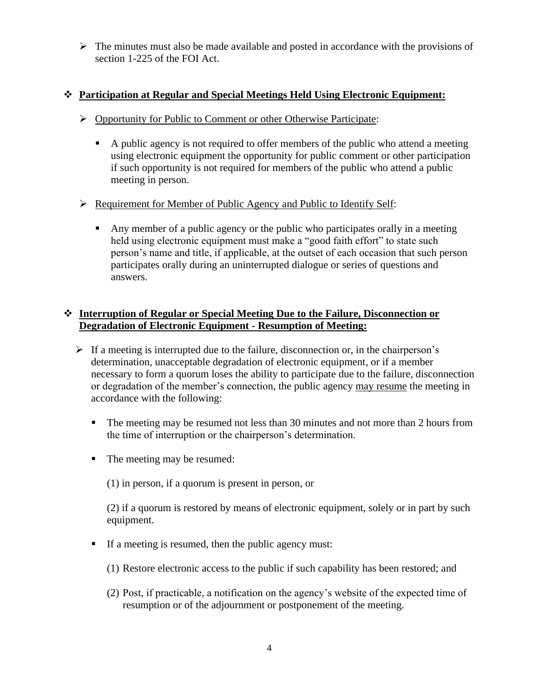$\triangleright$  The minutes must also be made available and posted in accordance with the provisions of section 1-225 of the FOI Act.

#### ❖ **Participation at Regular and Special Meetings Held Using Electronic Equipment:**

- ➢ Opportunity for Public to Comment or other Otherwise Participate:
	- A public agency is not required to offer members of the public who attend a meeting using electronic equipment the opportunity for public comment or other participation if such opportunity is not required for members of the public who attend a public meeting in person.

#### ➢ Requirement for Member of Public Agency and Public to Identify Self:

▪ Any member of a public agency or the public who participates orally in a meeting held using electronic equipment must make a "good faith effort" to state such person's name and title, if applicable, at the outset of each occasion that such person participates orally during an uninterrupted dialogue or series of questions and answers.

### ❖ **Interruption of Regular or Special Meeting Due to the Failure, Disconnection or Degradation of Electronic Equipment - Resumption of Meeting:**

- $\triangleright$  If a meeting is interrupted due to the failure, disconnection or, in the chairperson's determination, unacceptable degradation of electronic equipment, or if a member necessary to form a quorum loses the ability to participate due to the failure, disconnection or degradation of the member's connection, the public agency may resume the meeting in accordance with the following:
	- **•** The meeting may be resumed not less than 30 minutes and not more than 2 hours from the time of interruption or the chairperson's determination.
	- The meeting may be resumed:
		- (1) in person, if a quorum is present in person, or

(2) if a quorum is restored by means of electronic equipment, solely or in part by such equipment.

- If a meeting is resumed, then the public agency must:
	- (1) Restore electronic access to the public if such capability has been restored; and
	- (2) Post, if practicable, a notification on the agency's website of the expected time of resumption or of the adjournment or postponement of the meeting.